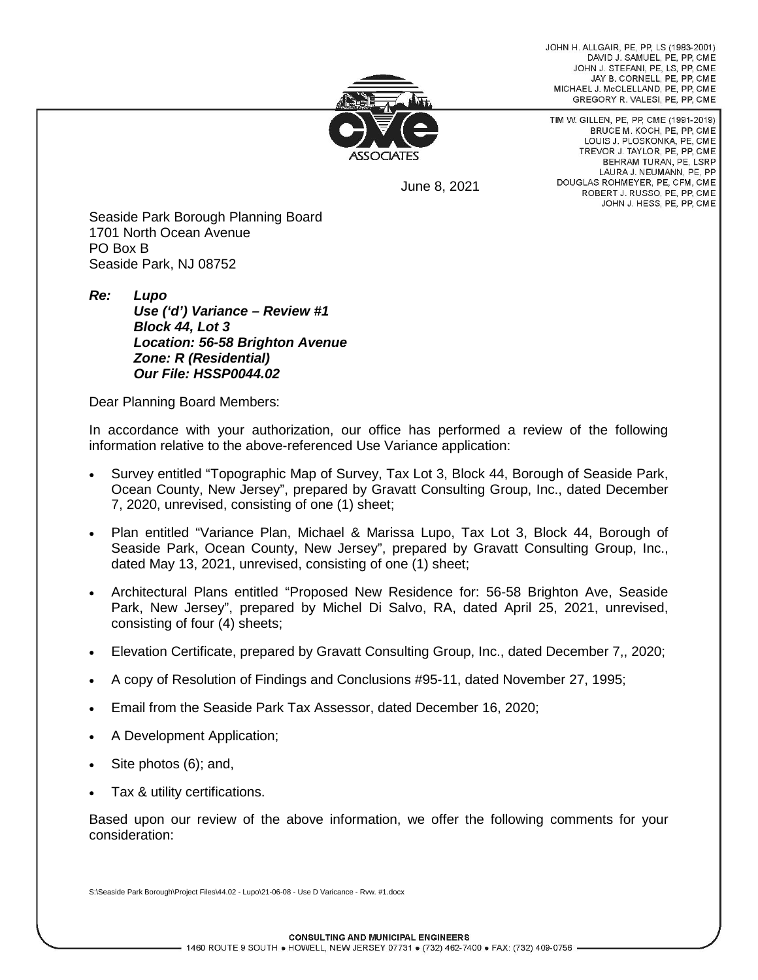JOHN H. ALLGAIR, PE, PP, LS (1983-2001) DAVID J. SAMUEL, PE, PP, CME JOHN J. STEFANI, PE, LS, PP, CME JAY B. CORNELL, PE, PP, CME MICHAEL J. McCLELLAND, PE. PP. CME GREGORY R. VALESI, PE, PP, CME



June 8, 2021

TIM W. GILLEN, PE, PP, CME (1991-2019) BRUCE M. KOCH, PE, PP, CME LOUIS J. PLOSKONKA, PE, CME TREVOR J. TAYLOR, PE, PP, CME BEHRAM TURAN, PE. LSRP LAURA J. NEUMANN, PE, PP DOUGLAS ROHMEYER, PE, CFM, CME ROBERT J. RUSSO, PE, PP, CME JOHN J. HESS, PE, PP, CME

Seaside Park Borough Planning Board 1701 North Ocean Avenue PO Box B Seaside Park, NJ 08752

*Re: Lupo Use ('d') Variance – Review #1 Block 44, Lot 3 Location: 56-58 Brighton Avenue Zone: R (Residential) Our File: HSSP0044.02*

Dear Planning Board Members:

In accordance with your authorization, our office has performed a review of the following information relative to the above-referenced Use Variance application:

- Survey entitled "Topographic Map of Survey, Tax Lot 3, Block 44, Borough of Seaside Park, Ocean County, New Jersey", prepared by Gravatt Consulting Group, Inc., dated December 7, 2020, unrevised, consisting of one (1) sheet;
- Plan entitled "Variance Plan, Michael & Marissa Lupo, Tax Lot 3, Block 44, Borough of Seaside Park, Ocean County, New Jersey", prepared by Gravatt Consulting Group, Inc., dated May 13, 2021, unrevised, consisting of one (1) sheet;
- Architectural Plans entitled "Proposed New Residence for: 56-58 Brighton Ave, Seaside Park, New Jersey", prepared by Michel Di Salvo, RA, dated April 25, 2021, unrevised, consisting of four (4) sheets;
- Elevation Certificate, prepared by Gravatt Consulting Group, Inc., dated December 7,, 2020;
- A copy of Resolution of Findings and Conclusions #95-11, dated November 27, 1995;
- Email from the Seaside Park Tax Assessor, dated December 16, 2020;
- A Development Application;
- Site photos (6); and,
- Tax & utility certifications.

Based upon our review of the above information, we offer the following comments for your consideration:

S:\Seaside Park Borough\Project Files\44.02 - Lupo\21-06-08 - Use D Varicance - Rvw. #1.docx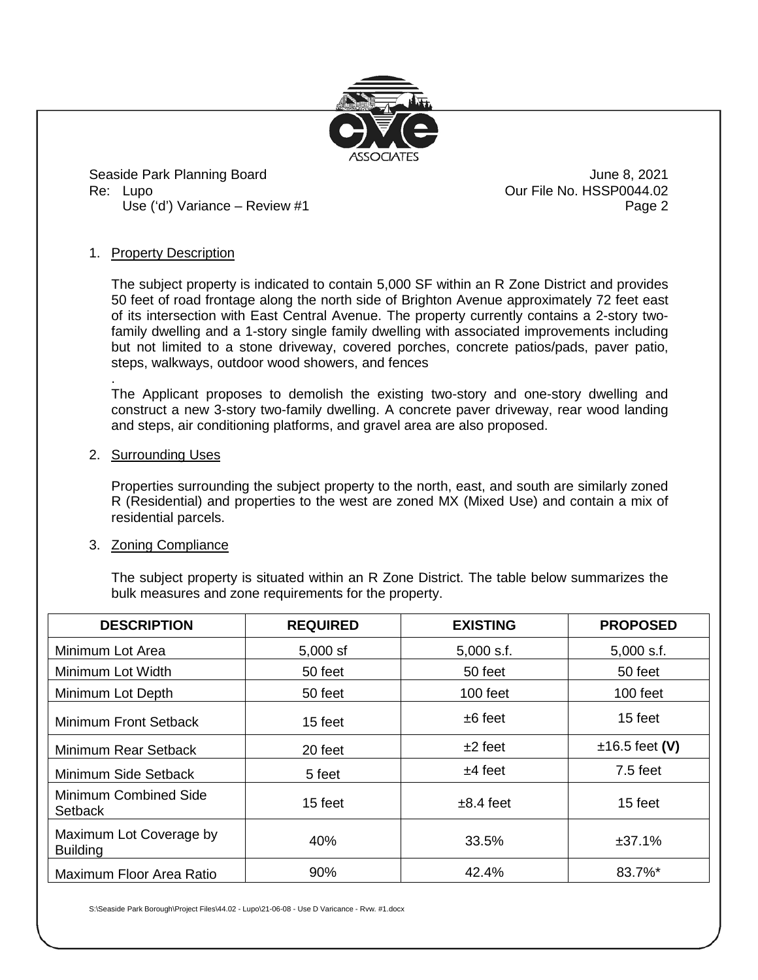

Seaside Park Planning Board June 8, 2021 Re: Lupo **Dur File No. HSSP0044.02** Use ('d') Variance – Review #1 Page 2

### 1. Property Description

The subject property is indicated to contain 5,000 SF within an R Zone District and provides 50 feet of road frontage along the north side of Brighton Avenue approximately 72 feet east of its intersection with East Central Avenue. The property currently contains a 2-story twofamily dwelling and a 1-story single family dwelling with associated improvements including but not limited to a stone driveway, covered porches, concrete patios/pads, paver patio, steps, walkways, outdoor wood showers, and fences

. The Applicant proposes to demolish the existing two-story and one-story dwelling and construct a new 3-story two-family dwelling. A concrete paver driveway, rear wood landing and steps, air conditioning platforms, and gravel area are also proposed.

#### 2. Surrounding Uses

Properties surrounding the subject property to the north, east, and south are similarly zoned R (Residential) and properties to the west are zoned MX (Mixed Use) and contain a mix of residential parcels.

#### 3. Zoning Compliance

The subject property is situated within an R Zone District. The table below summarizes the bulk measures and zone requirements for the property.

| <b>DESCRIPTION</b>                         | <b>REQUIRED</b> | <b>EXISTING</b> | <b>PROPOSED</b>  |
|--------------------------------------------|-----------------|-----------------|------------------|
| Minimum Lot Area                           | $5,000$ sf      | $5,000$ s.f.    | $5,000$ s.f.     |
| Minimum Lot Width                          | 50 feet         | 50 feet         | 50 feet          |
| Minimum Lot Depth                          | 50 feet         | $100$ feet      | 100 feet         |
| Minimum Front Setback                      | 15 feet         | $±6$ feet       | 15 feet          |
| Minimum Rear Setback                       | 20 feet         | $±2$ feet       | $±16.5$ feet (V) |
| Minimum Side Setback                       | 5 feet          | $±4$ feet       | $7.5$ feet       |
| Minimum Combined Side<br>Setback           | 15 feet         | $\pm 8.4$ feet  | 15 feet          |
| Maximum Lot Coverage by<br><b>Building</b> | 40%             | 33.5%           | ±37.1%           |
| Maximum Floor Area Ratio                   | 90%             | 42.4%           | 83.7%*           |

S:\Seaside Park Borough\Project Files\44.02 - Lupo\21-06-08 - Use D Varicance - Rvw. #1.docx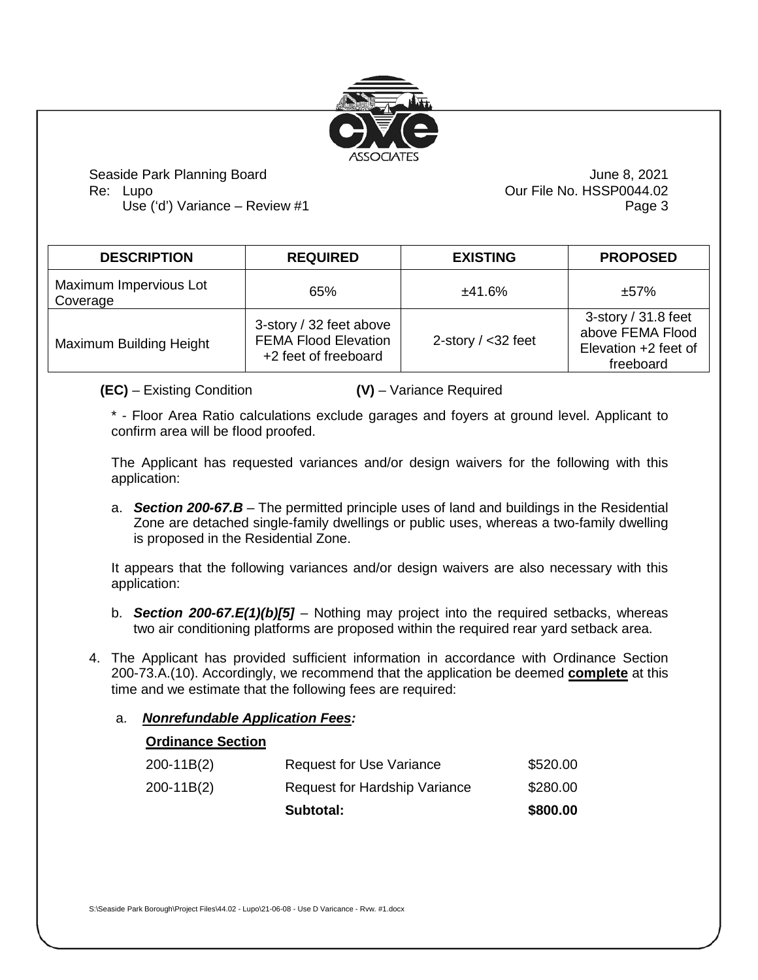

Seaside Park Planning Board June 8, 2021 Re: Lupo **Dur File No. HSSP0044.02** 

Use ('d') Variance – Review #1 Page 3

| <b>DESCRIPTION</b>                 | <b>REQUIRED</b>                                                                | <b>EXISTING</b>       | <b>PROPOSED</b>                                                                |
|------------------------------------|--------------------------------------------------------------------------------|-----------------------|--------------------------------------------------------------------------------|
| Maximum Impervious Lot<br>Coverage | 65%                                                                            | ±41.6%                | ±57%                                                                           |
| Maximum Building Height            | 3-story / 32 feet above<br><b>FEMA Flood Elevation</b><br>+2 feet of freeboard | 2-story $/$ < 32 feet | 3-story $/$ 31.8 feet<br>above FEMA Flood<br>Elevation +2 feet of<br>freeboard |

**(EC)** – Existing Condition **(V)** – Variance Required

\* - Floor Area Ratio calculations exclude garages and foyers at ground level. Applicant to confirm area will be flood proofed.

The Applicant has requested variances and/or design waivers for the following with this application:

a. *Section 200-67.B* – The permitted principle uses of land and buildings in the Residential Zone are detached single-family dwellings or public uses, whereas a two-family dwelling is proposed in the Residential Zone.

It appears that the following variances and/or design waivers are also necessary with this application:

- b. *Section 200-67.E(1)(b)[5]* Nothing may project into the required setbacks, whereas two air conditioning platforms are proposed within the required rear yard setback area.
- 4. The Applicant has provided sufficient information in accordance with Ordinance Section 200-73.A.(10). Accordingly, we recommend that the application be deemed **complete** at this time and we estimate that the following fees are required:

## a. *Nonrefundable Application Fees:*

|--|

|              | Subtotal:                            | \$800.00 |
|--------------|--------------------------------------|----------|
| $200-11B(2)$ | <b>Request for Hardship Variance</b> | \$280.00 |
| 200-11B(2)   | <b>Request for Use Variance</b>      | \$520.00 |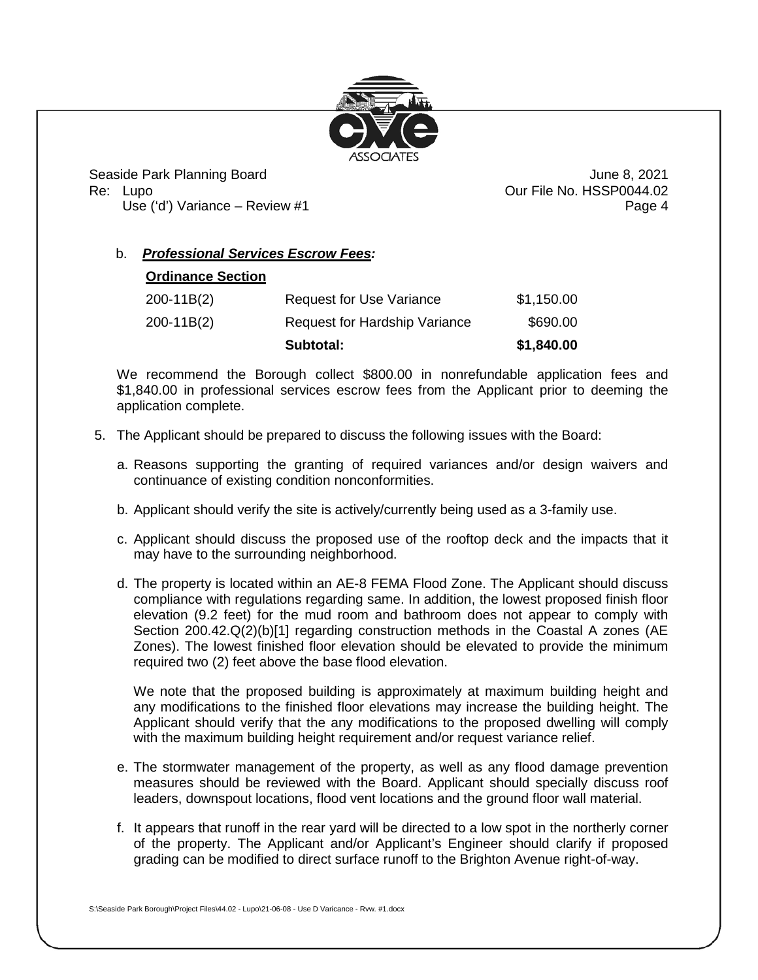

Seaside Park Planning Board June 8, 2021 Re: Lupo **Dure File No. HSSP0044.02** 

Use ('d') Variance – Review #1 Page 4

# b. *Professional Services Escrow Fees:*

## **Ordinance Section**

|            | Subtotal:                     | \$1,840.00 |
|------------|-------------------------------|------------|
| 200-11B(2) | Request for Hardship Variance | \$690.00   |
| 200-11B(2) | Request for Use Variance      | \$1,150.00 |

We recommend the Borough collect \$800.00 in nonrefundable application fees and \$1,840.00 in professional services escrow fees from the Applicant prior to deeming the application complete.

- 5. The Applicant should be prepared to discuss the following issues with the Board:
	- a. Reasons supporting the granting of required variances and/or design waivers and continuance of existing condition nonconformities.
	- b. Applicant should verify the site is actively/currently being used as a 3-family use.
	- c. Applicant should discuss the proposed use of the rooftop deck and the impacts that it may have to the surrounding neighborhood.
	- d. The property is located within an AE-8 FEMA Flood Zone. The Applicant should discuss compliance with regulations regarding same. In addition, the lowest proposed finish floor elevation (9.2 feet) for the mud room and bathroom does not appear to comply with Section 200.42.Q(2)(b)[1] regarding construction methods in the Coastal A zones (AE Zones). The lowest finished floor elevation should be elevated to provide the minimum required two (2) feet above the base flood elevation.

We note that the proposed building is approximately at maximum building height and any modifications to the finished floor elevations may increase the building height. The Applicant should verify that the any modifications to the proposed dwelling will comply with the maximum building height requirement and/or request variance relief.

- e. The stormwater management of the property, as well as any flood damage prevention measures should be reviewed with the Board. Applicant should specially discuss roof leaders, downspout locations, flood vent locations and the ground floor wall material.
- f. It appears that runoff in the rear yard will be directed to a low spot in the northerly corner of the property. The Applicant and/or Applicant's Engineer should clarify if proposed grading can be modified to direct surface runoff to the Brighton Avenue right-of-way.

S:\Seaside Park Borough\Project Files\44.02 - Lupo\21-06-08 - Use D Varicance - Rvw. #1.docx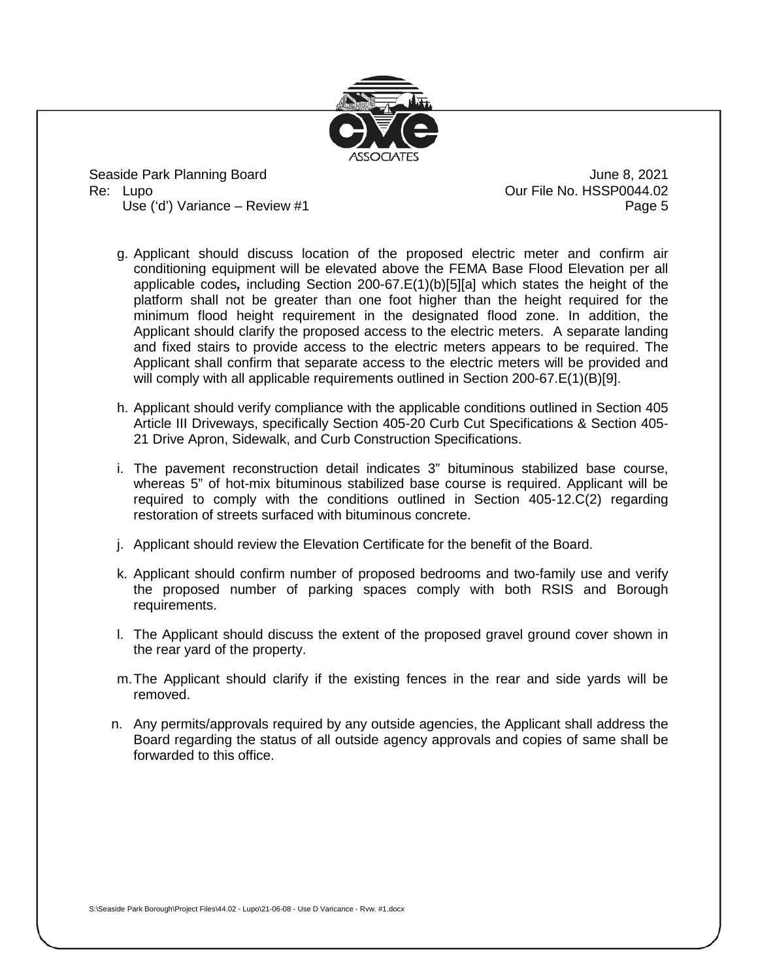

Seaside Park Planning Board June 8, 2021 Re: Lupo **Dure File No. HSSP0044.02** 

Use ('d') Variance – Review #1 Page 5

- g. Applicant should discuss location of the proposed electric meter and confirm air conditioning equipment will be elevated above the FEMA Base Flood Elevation per all applicable codes*,* including Section 200-67.E(1)(b)[5][a] which states the height of the platform shall not be greater than one foot higher than the height required for the minimum flood height requirement in the designated flood zone. In addition, the Applicant should clarify the proposed access to the electric meters. A separate landing and fixed stairs to provide access to the electric meters appears to be required. The Applicant shall confirm that separate access to the electric meters will be provided and will comply with all applicable requirements outlined in Section 200-67.E(1)(B)[9].
- h. Applicant should verify compliance with the applicable conditions outlined in Section 405 Article III Driveways, specifically Section 405-20 Curb Cut Specifications & Section 405- 21 Drive Apron, Sidewalk, and Curb Construction Specifications.
- i. The pavement reconstruction detail indicates 3" bituminous stabilized base course, whereas 5" of hot-mix bituminous stabilized base course is required. Applicant will be required to comply with the conditions outlined in Section 405-12.C(2) regarding restoration of streets surfaced with bituminous concrete.
- j. Applicant should review the Elevation Certificate for the benefit of the Board.
- k. Applicant should confirm number of proposed bedrooms and two-family use and verify the proposed number of parking spaces comply with both RSIS and Borough requirements.
- l. The Applicant should discuss the extent of the proposed gravel ground cover shown in the rear yard of the property.
- m.The Applicant should clarify if the existing fences in the rear and side yards will be removed.
- n. Any permits/approvals required by any outside agencies, the Applicant shall address the Board regarding the status of all outside agency approvals and copies of same shall be forwarded to this office.